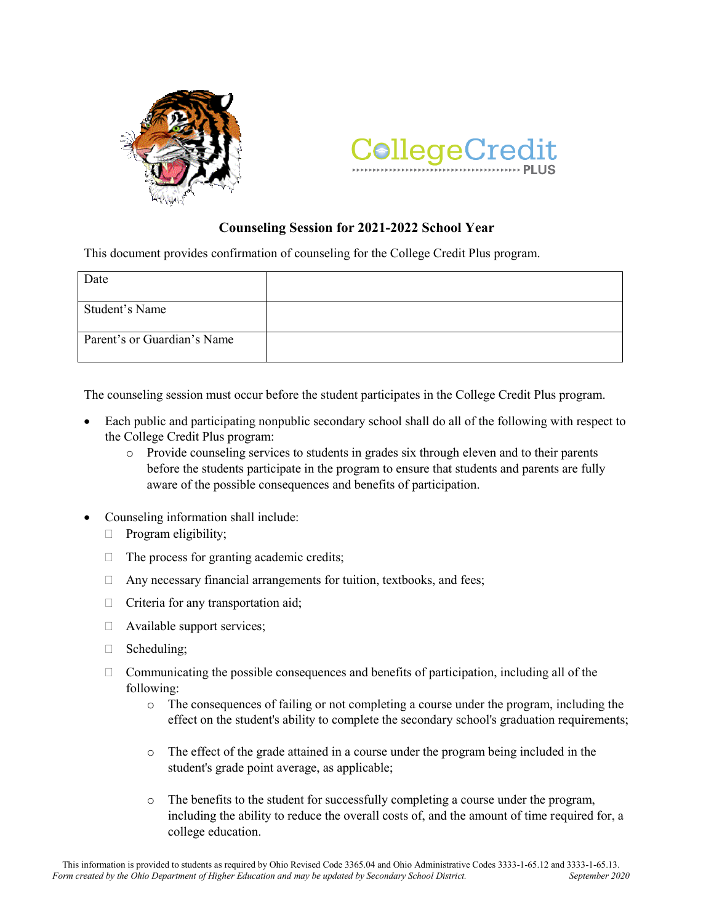



## **Counseling Session for 2021-2022 School Year**

This document provides confirmation of counseling for the College Credit Plus program.

| Date                        |  |
|-----------------------------|--|
|                             |  |
| Student's Name              |  |
| Parent's or Guardian's Name |  |

The counseling session must occur before the student participates in the College Credit Plus program.

- Each public and participating nonpublic secondary school shall do all of the following with respect to the College Credit Plus program:
	- o Provide counseling services to students in grades six through eleven and to their parents before the students participate in the program to ensure that students and parents are fully aware of the possible consequences and benefits of participation.
- Counseling information shall include:
	- $\Box$  Program eligibility;
	- $\Box$  The process for granting academic credits;
	- $\Box$  Any necessary financial arrangements for tuition, textbooks, and fees;
	- $\Box$  Criteria for any transportation aid;
	- Available support services;
	- Scheduling;
	- $\Box$  Communicating the possible consequences and benefits of participation, including all of the following:
		- o The consequences of failing or not completing a course under the program, including the effect on the student's ability to complete the secondary school's graduation requirements;
		- o The effect of the grade attained in a course under the program being included in the student's grade point average, as applicable;
		- o The benefits to the student for successfully completing a course under the program, including the ability to reduce the overall costs of, and the amount of time required for, a college education.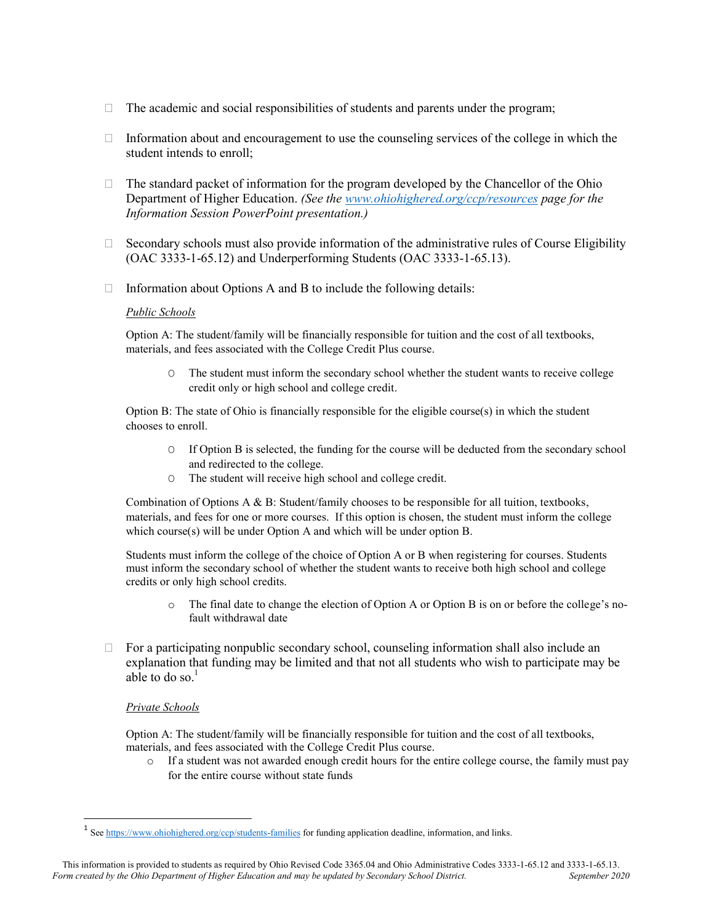- $\Box$  The academic and social responsibilities of students and parents under the program;
- $\Box$  Information about and encouragement to use the counseling services of the college in which the student intends to enroll;
- $\Box$  The standard packet of information for the program developed by the Chancellor of the Ohio Department of Higher Education. *(See the [www.ohiohighered.org/ccp/resources](http://www.ohiohighered.org/ccp/resources) page for the Information Session PowerPoint presentation.)*
- $\Box$  Secondary schools must also provide information of the administrative rules of Course Eligibility (OAC 3333-1-65.12) and Underperforming Students (OAC 3333-1-65.13).
- $\Box$  Information about Options A and B to include the following details:

## *Public Schools*

Option A: The student/family will be financially responsible for tuition and the cost of all textbooks, materials, and fees associated with the College Credit Plus course.

O The student must inform the secondary school whether the student wants to receive college credit only or high school and college credit.

Option B: The state of Ohio is financially responsible for the eligible course(s) in which the student chooses to enroll.

- O If Option B is selected, the funding for the course will be deducted from the secondary school and redirected to the college.
- O The student will receive high school and college credit.

Combination of Options A & B: Student/family chooses to be responsible for all tuition, textbooks, materials, and fees for one or more courses. If this option is chosen, the student must inform the college which course(s) will be under Option A and which will be under option B.

Students must inform the college of the choice of Option A or B when registering for courses. Students must inform the secondary school of whether the student wants to receive both high school and college credits or only high school credits.

- o The final date to change the election of Option A or Option B is on or before the college's nofault withdrawal date
- $\Box$  For a participating nonpublic secondary school, counseling information shall also include an explanation that funding may be limited and that not all students who wish to participate may be able to do so. $<sup>1</sup>$ </sup>

## *Private Schools*

 $\overline{\phantom{a}}$ 

Option A: The student/family will be financially responsible for tuition and the cost of all textbooks, materials, and fees associated with the College Credit Plus course.

o If a student was not awarded enough credit hours for the entire college course, the family must pay for the entire course without state funds

<sup>&</sup>lt;sup>1</sup> Se[e https://www.ohiohighered.org/ccp/students-families](https://www.ohiohighered.org/ccp/students-families) for funding application deadline, information, and links.

This information is provided to students as required by Ohio Revised Code 3365.04 and Ohio Administrative Codes 3333-1-65.12 and 3333-1-65.13.<br>
September 2020 September 2020 *Form created by the Ohio Department of Higher Education and may be updated by Secondary School District.*